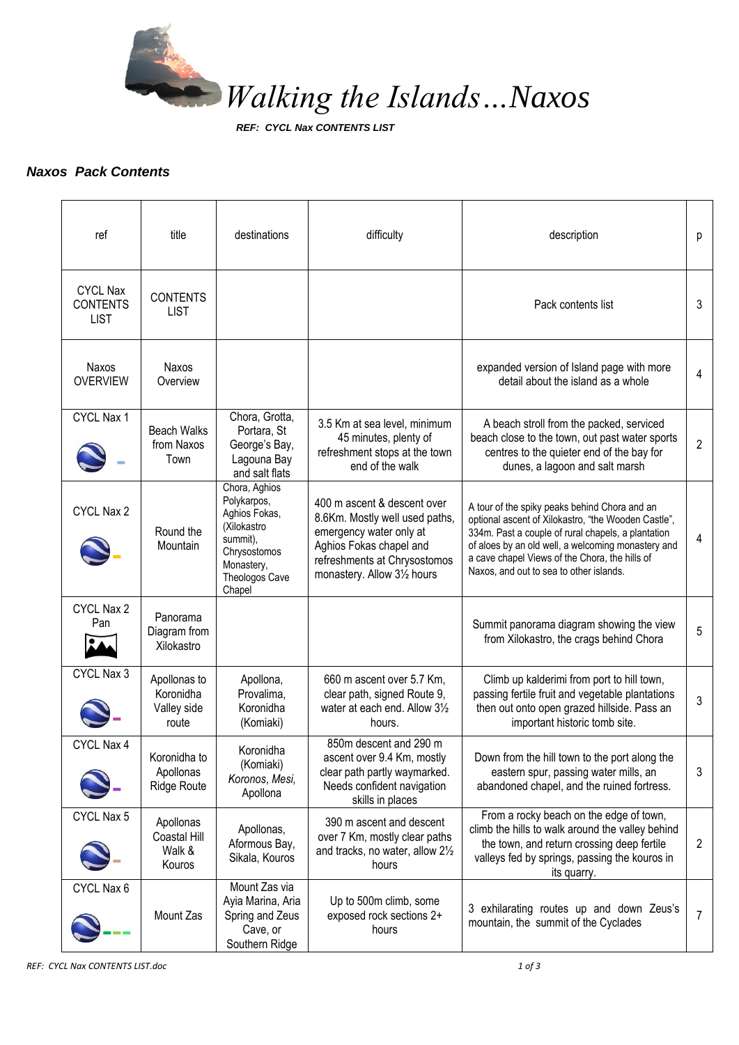

*REF: CYCL Nax CONTENTS LIST*

## *Naxos Pack Contents*

| ref                                               | title                                             | destinations                                                                                                                       | difficulty                                                                                                                                                                         | description                                                                                                                                                                                                                                                                                                   | р              |
|---------------------------------------------------|---------------------------------------------------|------------------------------------------------------------------------------------------------------------------------------------|------------------------------------------------------------------------------------------------------------------------------------------------------------------------------------|---------------------------------------------------------------------------------------------------------------------------------------------------------------------------------------------------------------------------------------------------------------------------------------------------------------|----------------|
| <b>CYCL Nax</b><br><b>CONTENTS</b><br><b>LIST</b> | <b>CONTENTS</b><br><b>LIST</b>                    |                                                                                                                                    |                                                                                                                                                                                    | Pack contents list                                                                                                                                                                                                                                                                                            | 3              |
| Naxos<br><b>OVERVIEW</b>                          | Naxos<br>Overview                                 |                                                                                                                                    |                                                                                                                                                                                    | expanded version of Island page with more<br>detail about the island as a whole                                                                                                                                                                                                                               | $\overline{4}$ |
| CYCL Nax 1                                        | <b>Beach Walks</b><br>from Naxos<br>Town          | Chora, Grotta,<br>Portara, St<br>George's Bay,<br>Lagouna Bay<br>and salt flats                                                    | 3.5 Km at sea level, minimum<br>45 minutes, plenty of<br>refreshment stops at the town<br>end of the walk                                                                          | A beach stroll from the packed, serviced<br>beach close to the town, out past water sports<br>centres to the quieter end of the bay for<br>dunes, a lagoon and salt marsh                                                                                                                                     | $\overline{2}$ |
| CYCL Nax 2                                        | Round the<br>Mountain                             | Chora, Aghios<br>Polykarpos,<br>Aghios Fokas,<br>(Xilokastro<br>summit),<br>Chrysostomos<br>Monastery,<br>Theologos Cave<br>Chapel | 400 m ascent & descent over<br>8.6Km. Mostly well used paths,<br>emergency water only at<br>Aghios Fokas chapel and<br>refreshments at Chrysostomos<br>monastery. Allow 31/2 hours | A tour of the spiky peaks behind Chora and an<br>optional ascent of Xilokastro, "the Wooden Castle",<br>334m. Past a couple of rural chapels, a plantation<br>of aloes by an old well, a welcoming monastery and<br>a cave chapel Views of the Chora, the hills of<br>Naxos, and out to sea to other islands. | 4              |
| CYCL Nax 2<br>Pan                                 | Panorama<br>Diagram from<br>Xilokastro            |                                                                                                                                    |                                                                                                                                                                                    | Summit panorama diagram showing the view<br>from Xilokastro, the crags behind Chora                                                                                                                                                                                                                           | 5              |
| CYCL Nax 3                                        | Apollonas to<br>Koronidha<br>Valley side<br>route | Apollona,<br>Provalima,<br>Koronidha<br>(Komiaki)                                                                                  | 660 m ascent over 5.7 Km,<br>clear path, signed Route 9,<br>water at each end. Allow 31/2<br>hours.                                                                                | Climb up kalderimi from port to hill town,<br>passing fertile fruit and vegetable plantations<br>then out onto open grazed hillside. Pass an<br>important historic tomb site.                                                                                                                                 | 3              |
| CYCL Nax 4                                        | Koronidha to<br>Apollonas<br><b>Ridge Route</b>   | Koronidha<br>(Komiaki)<br>Koronos, Mesi,<br>Apollona                                                                               | 850m descent and 290 m<br>ascent over 9.4 Km, mostly<br>clear path partly waymarked.<br>Needs confident navigation<br>skills in places                                             | Down from the hill town to the port along the<br>eastern spur, passing water mills, an<br>abandoned chapel, and the ruined fortress.                                                                                                                                                                          | 3              |
| CYCL Nax 5                                        | Apollonas<br>Coastal Hill<br>Walk &<br>Kouros     | Apollonas,<br>Aformous Bay,<br>Sikala, Kouros                                                                                      | 390 m ascent and descent<br>over 7 Km, mostly clear paths<br>and tracks, no water, allow 21/2<br>hours                                                                             | From a rocky beach on the edge of town,<br>climb the hills to walk around the valley behind<br>the town, and return crossing deep fertile<br>valleys fed by springs, passing the kouros in<br>its quarry.                                                                                                     | $\overline{2}$ |
| CYCL Nax 6                                        | Mount Zas                                         | Mount Zas via<br>Ayia Marina, Aria<br>Spring and Zeus<br>Cave, or<br>Southern Ridge                                                | Up to 500m climb, some<br>exposed rock sections 2+<br>hours                                                                                                                        | 3 exhilarating routes up and down Zeus's<br>mountain, the summit of the Cyclades                                                                                                                                                                                                                              | 7              |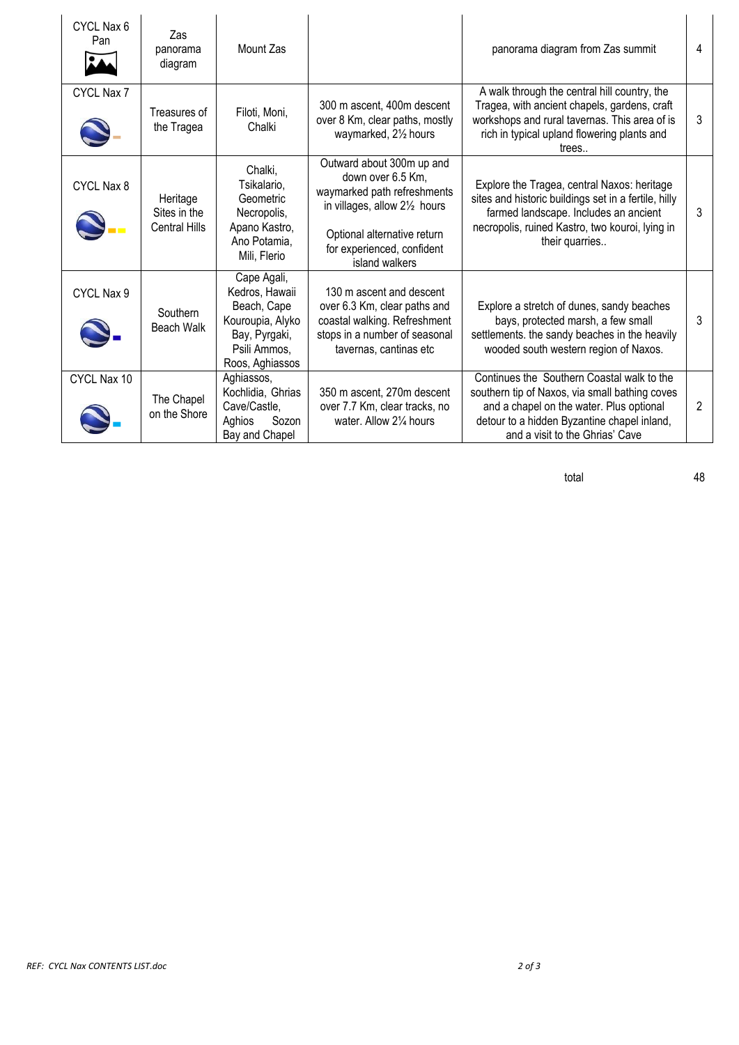| CYCL Nax 6<br>Pan | Zas<br>panorama<br>diagram                       | Mount Zas                                                                                                            |                                                                                                                                                                                               | panorama diagram from Zas summit                                                                                                                                                                                           | 4 |
|-------------------|--------------------------------------------------|----------------------------------------------------------------------------------------------------------------------|-----------------------------------------------------------------------------------------------------------------------------------------------------------------------------------------------|----------------------------------------------------------------------------------------------------------------------------------------------------------------------------------------------------------------------------|---|
| CYCL Nax 7        | Treasures of<br>the Tragea                       | Filoti, Moni,<br>Chalki                                                                                              | 300 m ascent, 400m descent<br>over 8 Km, clear paths, mostly<br>waymarked, 21/2 hours                                                                                                         | A walk through the central hill country, the<br>Tragea, with ancient chapels, gardens, craft<br>workshops and rural tavernas. This area of is<br>rich in typical upland flowering plants and<br>trees                      | 3 |
| CYCL Nax 8        | Heritage<br>Sites in the<br><b>Central Hills</b> | Chalki,<br>Tsikalario,<br>Geometric<br>Necropolis,<br>Apano Kastro,<br>Ano Potamia,<br>Mili, Flerio                  | Outward about 300m up and<br>down over 6.5 Km,<br>waymarked path refreshments<br>in villages, allow 21/2 hours<br>Optional alternative return<br>for experienced, confident<br>island walkers | Explore the Tragea, central Naxos: heritage<br>sites and historic buildings set in a fertile, hilly<br>farmed landscape. Includes an ancient<br>necropolis, ruined Kastro, two kouroi, lying in<br>their quarries          | 3 |
| CYCL Nax 9        | Southern<br><b>Beach Walk</b>                    | Cape Agali,<br>Kedros, Hawaii<br>Beach, Cape<br>Kouroupia, Alyko<br>Bay, Pyrgaki,<br>Psili Ammos,<br>Roos, Aghiassos | 130 m ascent and descent<br>over 6.3 Km, clear paths and<br>coastal walking. Refreshment<br>stops in a number of seasonal<br>tavernas, cantinas etc                                           | Explore a stretch of dunes, sandy beaches<br>bays, protected marsh, a few small<br>settlements. the sandy beaches in the heavily<br>wooded south western region of Naxos.                                                  | 3 |
| CYCL Nax 10       | The Chapel<br>on the Shore                       | Aghiassos,<br>Kochlidia, Ghrias<br>Cave/Castle,<br>Aghios<br>Sozon<br>Bay and Chapel                                 | 350 m ascent, 270m descent<br>over 7.7 Km, clear tracks, no<br>water. Allow 21/4 hours                                                                                                        | Continues the Southern Coastal walk to the<br>southern tip of Naxos, via small bathing coves<br>and a chapel on the water. Plus optional<br>detour to a hidden Byzantine chapel inland,<br>and a visit to the Ghrias' Cave | 2 |

total 48